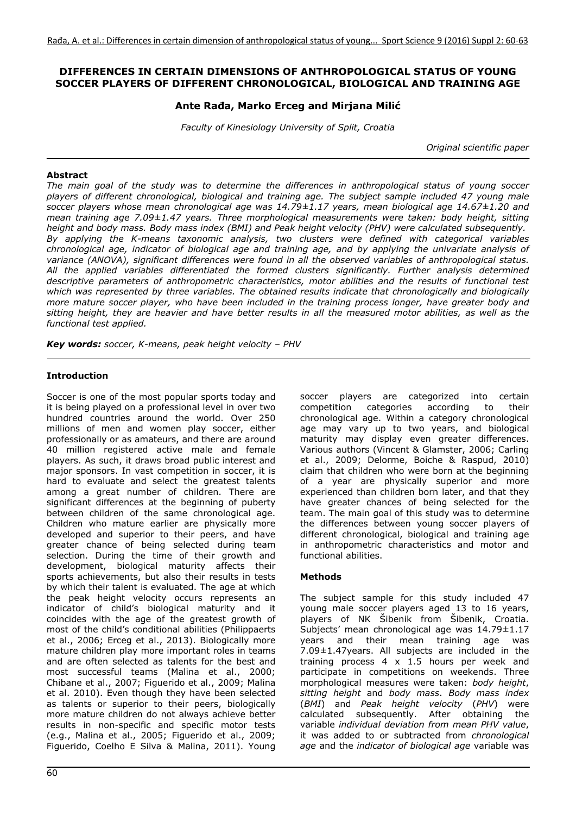## **DIFFERENCES IN CERTAIN DIMENSIONS OF ANTHROPOLOGICAL STATUS OF YOUNG SOCCER PLAYERS OF DIFFERENT CHRONOLOGICAL, BIOLOGICAL AND TRAINING AGE**

## **Ante Rađa, Marko Erceg and Mirjana Milić**

*Faculty of Kinesiology University of Split, Croatia* 

*Original scientific paper* 

#### **Abstract**

*The main goal of the study was to determine the differences in anthropological status of young soccer players of different chronological, biological and training age. The subject sample included 47 young male soccer players whose mean chronological age was 14.79±1.17 years, mean biological age 14.67±1.20 and mean training age 7.09±1.47 years. Three morphological measurements were taken: body height, sitting height and body mass. Body mass index (BMI) and Peak height velocity (PHV) were calculated subsequently. By applying the K-means taxonomic analysis, two clusters were defined with categorical variables chronological age, indicator of biological age and training age, and by applying the univariate analysis of variance (ANOVA), significant differences were found in all the observed variables of anthropological status. All the applied variables differentiated the formed clusters significantly. Further analysis determined descriptive parameters of anthropometric characteristics, motor abilities and the results of functional test*  which was represented by three variables. The obtained results indicate that chronologically and biologically *more mature soccer player, who have been included in the training process longer, have greater body and sitting height, they are heavier and have better results in all the measured motor abilities, as well as the functional test applied.* 

*Key words: soccer, K-means, peak height velocity – PHV*

## **Introduction**

Soccer is one of the most popular sports today and it is being played on a professional level in over two hundred countries around the world. Over 250 millions of men and women play soccer, either professionally or as amateurs, and there are around 40 million registered active male and female players. As such, it draws broad public interest and major sponsors. In vast competition in soccer, it is hard to evaluate and select the greatest talents among a great number of children. There are significant differences at the beginning of puberty between children of the same chronological age. Children who mature earlier are physically more developed and superior to their peers, and have greater chance of being selected during team selection. During the time of their growth and development, biological maturity affects their sports achievements, but also their results in tests by which their talent is evaluated. The age at which the peak height velocity occurs represents an indicator of child's biological maturity and it coincides with the age of the greatest growth of most of the child's conditional abilities (Philippaerts et al., 2006; Erceg et al., 2013). Biologically more mature children play more important roles in teams and are often selected as talents for the best and most successful teams (Malina et al., 2000; Chibane et al., 2007; Figuerido et al., 2009; Malina et al. 2010). Even though they have been selected as talents or superior to their peers, biologically more mature children do not always achieve better results in non-specific and specific motor tests (e.g., Malina et al., 2005; Figuerido et al., 2009; Figuerido, Coelho E Silva & Malina, 2011). Young soccer players are categorized into certain competition categories according to their chronological age. Within a category chronological age may vary up to two years, and biological maturity may display even greater differences. Various authors (Vincent & Glamster, 2006; Carling et al., 2009; Delorme, Boiche & Raspud, 2010) claim that children who were born at the beginning of a year are physically superior and more experienced than children born later, and that they have greater chances of being selected for the team. The main goal of this study was to determine the differences between young soccer players of different chronological, biological and training age in anthropometric characteristics and motor and functional abilities.

## **Methods**

The subject sample for this study included 47 young male soccer players aged 13 to 16 years, players of NK Šibenik from Šibenik, Croatia. Subjects' mean chronological age was 14.79±1.17 years and their mean training age was 7.09±1.47years. All subjects are included in the training process  $4 \times 1.5$  hours per week and participate in competitions on weekends. Three morphological measures were taken: *body height*, *sitting height* and *body mass*. *Body mass index*  (*BMI*) and *Peak height velocity* (*PHV*) were calculated subsequently. After obtaining the variable *individual deviation from mean PHV value*, it was added to or subtracted from *chronological age* and the *indicator of biological age* variable was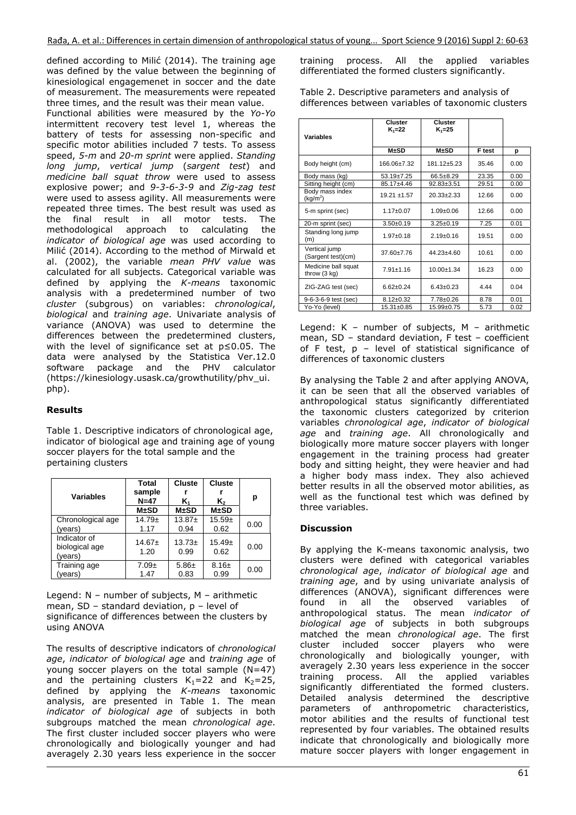defined according to Milić (2014). The training age was defined by the value between the beginning of kinesiological engagemenet in soccer and the date of measurement. The measurements were repeated three times, and the result was their mean value.

Functional abilities were measured by the *Yo-Yo*  intermittent recovery test level 1, whereas the battery of tests for assessing non-specific and specific motor abilities included 7 tests. To assess speed, *5-m* and *20-m sprint* were applied. *Standing long jump*, *vertical jump* (*sargent test*) and *medicine ball squat throw* were used to assess explosive power; and *9-3-6-3-9* and *Zig-zag test*  were used to assess agility. All measurements were repeated three times. The best result was used as the final result in all motor tests. The methodological approach to calculating the *indicator of biological age* was used according to Milić (2014). According to the method of Mirwald et al. (2002), the variable *mean PHV value* was calculated for all subjects. Categorical variable was defined by applying the *K-means* taxonomic analysis with a predetermined number of two *cluster* (subgrous) on variables: *chronological*, *biological* and *training age*. Univariate analysis of variance (ANOVA) was used to determine the differences between the predetermined clusters, with the level of significance set at p≤0.05. The data were analysed by the Statistica Ver.12.0 software package and the PHV calculator (https://kinesiology.usask.ca/growthutility/phv\_ui. php).

# **Results**

Table 1. Descriptive indicators of chronological age, indicator of biological age and training age of young soccer players for the total sample and the pertaining clusters

| <b>Variables</b>                          | Total<br>sample<br>$N=47$<br>$M \pm SD$ | <b>Cluste</b><br>K۱<br>$M \pm SD$ | <b>Cluste</b><br>$K_{2}$<br>$M \pm SD$ | р    |
|-------------------------------------------|-----------------------------------------|-----------------------------------|----------------------------------------|------|
| Chronological age                         | $14.79+$                                | $13.87+$                          | $15.59+$                               | 0.00 |
| (vears)                                   | 1.17                                    | 0.94                              | 0.62                                   |      |
| Indicator of<br>biological age<br>(years) | $14.67+$<br>1.20                        | $13.73+$<br>0.99                  | $15.49+$<br>0.62                       | 0.00 |
| Training age                              | $7.09\pm$                               | $5.86 \pm$                        | $8.16 +$                               | 0.00 |
| (vears)                                   | 1.47                                    | 0.83                              | 0.99                                   |      |

Legend: N – number of subjects, M – arithmetic mean, SD – standard deviation, p – level of significance of differences between the clusters by using ANOVA

The results of descriptive indicators of *chronological age*, *indicator of biological age* and *training age* of young soccer players on the total sample (N=47) and the pertaining clusters  $K_1=22$  and  $K_2=25$ , defined by applying the *K-means* taxonomic analysis, are presented in Table 1. The mean *indicator of biological age* of subjects in both subgroups matched the mean *chronological age*. The first cluster included soccer players who were chronologically and biologically younger and had averagely 2.30 years less experience in the soccer

training process. All the applied variables differentiated the formed clusters significantly.

Table 2. Descriptive parameters and analysis of differences between variables of taxonomic clusters

| Variables                                     | Cluster<br>$K_1 = 22$ | Cluster<br>$K_1 = 25$ |        |      |
|-----------------------------------------------|-----------------------|-----------------------|--------|------|
|                                               | $M \pm SD$            | $M \pm SD$            | F test | р    |
| Body height (cm)                              | 166.06±7.32           | $181.12 + 5.23$       | 35.46  | 0.00 |
| Body mass (kg)                                | $53.19 \pm 7.25$      | 66.5±8.29             | 23.35  | 0.00 |
| Sitting height (cm)                           | 85.17±4.46            | 92.83±3.51            | 29.51  | 0.00 |
| Body mass index<br>(kg/m <sup>2</sup> )       | $19.21 \pm 1.57$      | $20.33 + 2.33$        | 12.66  | 0.00 |
| 5-m sprint (sec)                              | $1.17 \pm 0.07$       | $1.09 + 0.06$         | 12.66  | 0.00 |
| 20-m sprint (sec)                             | $3.50+0.19$           | $3.25 \pm 0.19$       | 7.25   | 0.01 |
| Standing long jump<br>(m)                     | $1.97 + 0.18$         | $2.19+0.16$           | 19.51  | 0.00 |
| Vertical jump<br>(Sargent test)(cm)           | $37.60 + 7.76$        | $44.23 + 4.60$        | 10.61  | 0.00 |
| Medicine ball squat<br>throw $(3 \text{ kg})$ | $7.91 \pm 1.16$       | $10.00 \pm 1.34$      | 16.23  | 0.00 |
| ZIG-ZAG test (sec)                            | $6.62 + 0.24$         | $6.43 \pm 0.23$       | 4 4 4  | 0.04 |
| 9-6-3-6-9 test (sec)                          | $8.12 \pm 0.32$       | $7.78 + 0.26$         | 8.78   | 0.01 |
| Yo-Yo (level)                                 | 15.31±0.85            | 15.99±0.75            | 5.73   | 0.02 |

Legend: K – number of subjects, M – arithmetic mean, SD – standard deviation, F test – coefficient of F test, p – level of statistical significance of differences of taxonomic clusters

By analysing the Table 2 and after applying ANOVA, it can be seen that all the observed variables of anthropological status significantly differentiated the taxonomic clusters categorized by criterion variables *chronological age*, *indicator of biological age* and *training age*. All chronologically and biologically more mature soccer players with longer engagement in the training process had greater body and sitting height, they were heavier and had a higher body mass index. They also achieved better results in all the observed motor abilities, as well as the functional test which was defined by three variables.

## **Discussion**

By applying the K-means taxonomic analysis, two clusters were defined with categorical variables *chronological age*, *indicator of biological age* and *training age*, and by using univariate analysis of differences (ANOVA), significant differences were found in all the observed variables of anthropological status. The mean *indicator of biological age* of subjects in both subgroups matched the mean *chronological age*. The first cluster included soccer players who were chronologically and biologically younger, with averagely 2.30 years less experience in the soccer training process. All the applied variables significantly differentiated the formed clusters. Detailed analysis determined the descriptive parameters of anthropometric characteristics, motor abilities and the results of functional test represented by four variables. The obtained results indicate that chronologically and biologically more mature soccer players with longer engagement in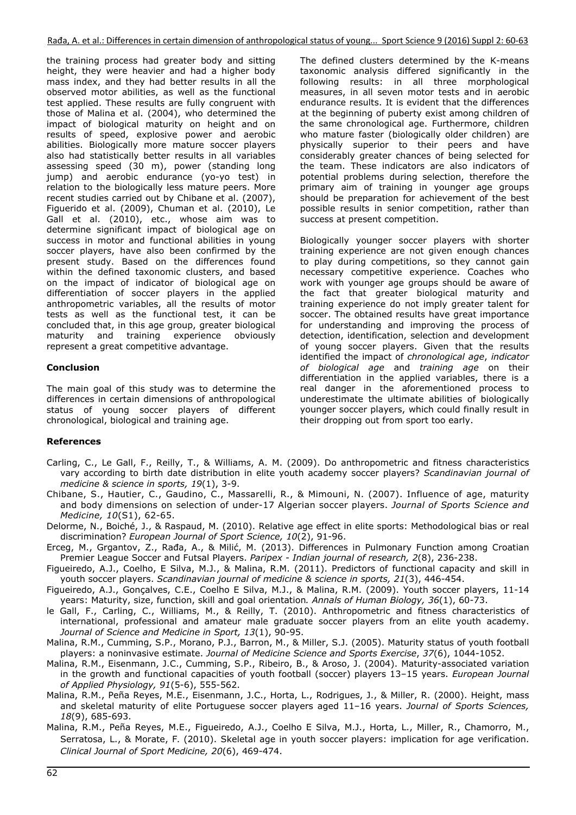Rađa, A. et al.: Differences in certain dimension of anthropological status of young... Sport Science 9 (2016) Suppl 2: 60‐63

the training process had greater body and sitting height, they were heavier and had a higher body mass index, and they had better results in all the observed motor abilities, as well as the functional test applied. These results are fully congruent with those of Malina et al. (2004), who determined the impact of biological maturity on height and on results of speed, explosive power and aerobic abilities. Biologically more mature soccer players also had statistically better results in all variables assessing speed (30 m), power (standing long jump) and aerobic endurance (yo-yo test) in relation to the biologically less mature peers. More recent studies carried out by Chibane et al. (2007), Figuerido et al. (2009), Chuman et al. (2010), Le Gall et al. (2010), etc., whose aim was to determine significant impact of biological age on success in motor and functional abilities in young soccer players, have also been confirmed by the present study. Based on the differences found within the defined taxonomic clusters, and based on the impact of indicator of biological age on differentiation of soccer players in the applied anthropometric variables, all the results of motor tests as well as the functional test, it can be concluded that, in this age group, greater biological maturity and training experience obviously represent a great competitive advantage.

#### **Conclusion**

The main goal of this study was to determine the differences in certain dimensions of anthropological status of young soccer players of different chronological, biological and training age.

The defined clusters determined by the K-means taxonomic analysis differed significantly in the following results: in all three morphological measures, in all seven motor tests and in aerobic endurance results. It is evident that the differences at the beginning of puberty exist among children of the same chronological age. Furthermore, children who mature faster (biologically older children) are physically superior to their peers and have considerably greater chances of being selected for the team. These indicators are also indicators of potential problems during selection, therefore the primary aim of training in younger age groups should be preparation for achievement of the best possible results in senior competition, rather than success at present competition.

Biologically younger soccer players with shorter training experience are not given enough chances to play during competitions, so they cannot gain necessary competitive experience. Coaches who work with younger age groups should be aware of the fact that greater biological maturity and training experience do not imply greater talent for soccer. The obtained results have great importance for understanding and improving the process of detection, identification, selection and development of young soccer players. Given that the results identified the impact of *chronological age*, *indicator of biological age* and *training age* on their differentiation in the applied variables, there is a real danger in the aforementioned process to underestimate the ultimate abilities of biologically younger soccer players, which could finally result in their dropping out from sport too early.

## **References**

- Carling, C., Le Gall, F., Reilly, T., & Williams, A. M. (2009). Do anthropometric and fitness characteristics vary according to birth date distribution in elite youth academy soccer players? *Scandinavian journal of medicine & science in sports, 19*(1), 3-9.
- Chibane, S., Hautier, C., Gaudino, C., Massarelli, R., & Mimouni, N. (2007). Influence of age, maturity and body dimensions on selection of under-17 Algerian soccer players. *Journal of Sports Science and Medicine, 10*(S1), 62-65.
- Delorme, N., Boiché, J., & Raspaud, M. (2010). Relative age effect in elite sports: Methodological bias or real discrimination? *European Journal of Sport Science, 10*(2), 91-96.
- Erceg, M., Grgantov, Z., Rađa, A., & Milić, M. (2013). Differences in Pulmonary Function among Croatian Premier League Soccer and Futsal Players. *Paripex - Indian journal of research, 2*(8), 236-238.
- Figueiredo, A.J., Coelho, E Silva, M.J., & Malina, R.M. (2011). Predictors of functional capacity and skill in youth soccer players. *Scandinavian journal of medicine & science in sports, 21*(3), 446-454.
- Figueiredo, A.J., Gonçalves, C.E., Coelho E Silva, M.J., & Malina, R.M. (2009). Youth soccer players, 11-14 years: Maturity, size, function, skill and goal orientation*. Annals of Human Biology, 36*(1), 60-73.
- le Gall, F., Carling, C., Williams, M., & Reilly, T. (2010). Anthropometric and fitness characteristics of international, professional and amateur male graduate soccer players from an elite youth academy. *Journal of Science and Medicine in Sport, 13*(1), 90-95.
- Malina, R.M., Cumming, S.P., Morano, P.J., Barron, M., & Miller, S.J. (2005). Maturity status of youth football players: a noninvasive estimate. *Journal of Medicine Science and Sports Exercise*, *37*(6), 1044-1052.
- Malina, R.M., Eisenmann, J.C., Cumming, S.P., Ribeiro, B., & Aroso, J. (2004). Maturity-associated variation in the growth and functional capacities of youth football (soccer) players 13–15 years. *European Journal of Applied Physiology, 91*(5-6), 555-562.
- Malina, R.M., Peña Reyes, M.E., Eisenmann, J.C., Horta, L., Rodrigues, J., & Miller, R. (2000). Height, mass and skeletal maturity of elite Portuguese soccer players aged 11–16 years. *Journal of Sports Sciences, 18*(9), 685-693.
- [Malina, R.M](http://www.ncbi.nlm.nih.gov/pubmed?term=Malina%20RM%5BAuthor%5D&cauthor=true&cauthor_uid=21079444)., Peña [Reyes, M.E.](http://www.ncbi.nlm.nih.gov/pubmed?term=Pe%C3%B1a%20Reyes%20ME%5BAuthor%5D&cauthor=true&cauthor_uid=21079444), [Figueiredo, A.J](http://www.ncbi.nlm.nih.gov/pubmed?term=Figueiredo%20AJ%5BAuthor%5D&cauthor=true&cauthor_uid=21079444)., [Coelho E Silva, M.J](http://www.ncbi.nlm.nih.gov/pubmed?term=Coelho%20E%20Silva%20MJ%5BAuthor%5D&cauthor=true&cauthor_uid=21079444)., [Horta, L](http://www.ncbi.nlm.nih.gov/pubmed?term=Horta%20L%5BAuthor%5D&cauthor=true&cauthor_uid=21079444)., [Miller, R](http://www.ncbi.nlm.nih.gov/pubmed?term=Miller%20R%5BAuthor%5D&cauthor=true&cauthor_uid=21079444)., [Chamorro, M.](http://www.ncbi.nlm.nih.gov/pubmed?term=Chamorro%20M%5BAuthor%5D&cauthor=true&cauthor_uid=21079444), [Serratosa, L](http://www.ncbi.nlm.nih.gov/pubmed?term=Serratosa%20L%5BAuthor%5D&cauthor=true&cauthor_uid=21079444)., & [Morate, F](http://www.ncbi.nlm.nih.gov/pubmed?term=Morate%20F%5BAuthor%5D&cauthor=true&cauthor_uid=21079444). (2010). Skeletal age in youth soccer players: implication for age verification. *Clinical Journal of Sport Medicine, 20*(6), 469-474.